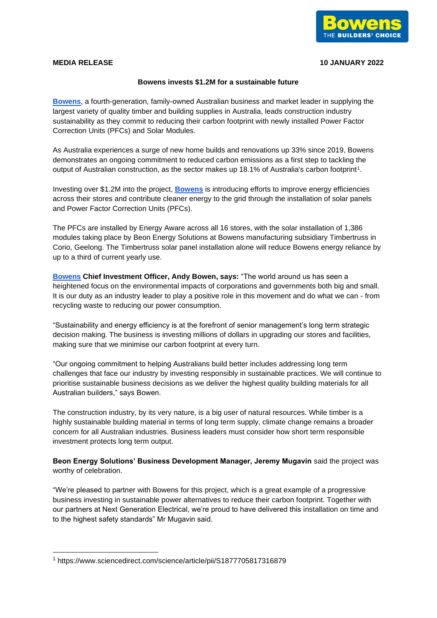

## **MEDIA RELEASE 10 JANUARY 2022**

## **Bowens invests \$1.2M for a sustainable future**

**[Bowens](https://www.bowens.com.au/)**, a fourth-generation, family-owned Australian business and market leader in supplying the largest variety of quality timber and building supplies in Australia, leads construction industry sustainability as they commit to reducing their carbon footprint with newly installed Power Factor Correction Units (PFCs) and Solar Modules.

As Australia experiences a surge of new home builds and renovations up 33% since 2019, Bowens demonstrates an ongoing commitment to reduced carbon emissions as a first step to tackling the output of Australian construction, as the sector makes up 18.1% of Australia's carbon footprint<sup>1</sup>.

Investing over \$1.2M into the project, **[Bowens](https://www.bowens.com.au/)** is introducing efforts to improve energy efficiencies across their stores and contribute cleaner energy to the grid through the installation of solar panels and Power Factor Correction Units (PFCs).

The PFCs are installed by Energy Aware across all 16 stores, with the solar installation of 1,386 modules taking place by Beon Energy Solutions at Bowens manufacturing subsidiary Timbertruss in Corio, Geelong. The Timbertruss solar panel installation alone will reduce Bowens energy reliance by up to a third of current yearly use.

**[Bowens](https://www.bowens.com.au/) Chief Investment Officer, Andy Bowen, says:** "The world around us has seen a heightened focus on the environmental impacts of corporations and governments both big and small. It is our duty as an industry leader to play a positive role in this movement and do what we can - from recycling waste to reducing our power consumption.

"Sustainability and energy efficiency is at the forefront of senior management's long term strategic decision making. The business is investing millions of dollars in upgrading our stores and facilities, making sure that we minimise our carbon footprint at every turn.

"Our ongoing commitment to helping Australians build better includes addressing long term challenges that face our industry by investing responsibly in sustainable practices. We will continue to prioritise sustainable business decisions as we deliver the highest quality building materials for all Australian builders," says Bowen.

The construction industry, by its very nature, is a big user of natural resources. While timber is a highly sustainable building material in terms of long term supply, climate change remains a broader concern for all Australian industries. Business leaders must consider how short term responsible investment protects long term output.

**Beon Energy Solutions' Business Development Manager, Jeremy Mugavin** said the project was worthy of celebration.

"We're pleased to partner with Bowens for this project, which is a great example of a progressive business investing in sustainable power alternatives to reduce their carbon footprint. Together with our partners at Next Generation Electrical, we're proud to have delivered this installation on time and to the highest safety standards" Mr Mugavin said.

<sup>1</sup> https://www.sciencedirect.com/science/article/pii/S1877705817316879